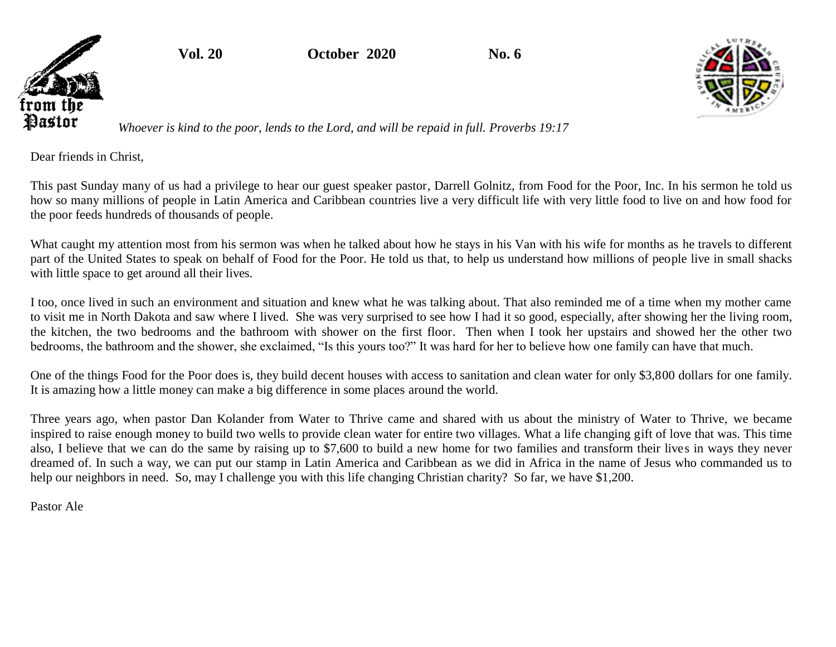**Vol. 20 October 2020 No. 6**



*Whoever is kind to the poor, lends to the Lord, and will be repaid in full. Proverbs 19:17*

Dear friends in Christ,

from the Pastor

> This past Sunday many of us had a privilege to hear our guest speaker pastor, Darrell Golnitz, from Food for the Poor, Inc. In his sermon he told us how so many millions of people in Latin America and Caribbean countries live a very difficult life with very little food to live on and how food for the poor feeds hundreds of thousands of people.

> What caught my attention most from his sermon was when he talked about how he stays in his Van with his wife for months as he travels to different part of the United States to speak on behalf of Food for the Poor. He told us that, to help us understand how millions of people live in small shacks with little space to get around all their lives.

> I too, once lived in such an environment and situation and knew what he was talking about. That also reminded me of a time when my mother came to visit me in North Dakota and saw where I lived. She was very surprised to see how I had it so good, especially, after showing her the living room, the kitchen, the two bedrooms and the bathroom with shower on the first floor. Then when I took her upstairs and showed her the other two bedrooms, the bathroom and the shower, she exclaimed, "Is this yours too?" It was hard for her to believe how one family can have that much.

> One of the things Food for the Poor does is, they build decent houses with access to sanitation and clean water for only \$3,800 dollars for one family. It is amazing how a little money can make a big difference in some places around the world.

> Three years ago, when pastor Dan Kolander from Water to Thrive came and shared with us about the ministry of Water to Thrive, we became inspired to raise enough money to build two wells to provide clean water for entire two villages. What a life changing gift of love that was. This time also, I believe that we can do the same by raising up to \$7,600 to build a new home for two families and transform their lives in ways they never dreamed of. In such a way, we can put our stamp in Latin America and Caribbean as we did in Africa in the name of Jesus who commanded us to help our neighbors in need. So, may I challenge you with this life changing Christian charity? So far, we have \$1,200.

Pastor Ale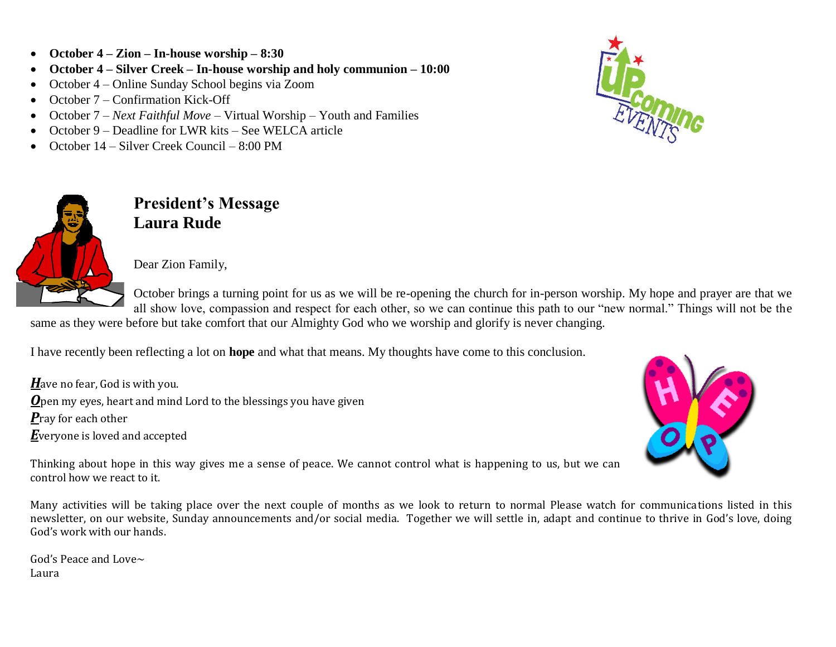- **October 4 – Zion – In-house worship – 8:30**
- **October 4 – Silver Creek – In-house worship and holy communion – 10:00**
- October 4 Online Sunday School begins via Zoom
- October  $7$  Confirmation Kick-Off
- October 7 *Next Faithful Move* Virtual Worship Youth and Families
- October 9 Deadline for LWR kits See WELCA article
- October 14 Silver Creek Council 8:00 PM



**President's Message Laura Rude**

Dear Zion Family,

October brings a turning point for us as we will be re-opening the church for in-person worship. My hope and prayer are that we all show love, compassion and respect for each other, so we can continue this path to our "new normal." Things will not be the

same as they were before but take comfort that our Almighty God who we worship and glorify is never changing.

I have recently been reflecting a lot on **hope** and what that means. My thoughts have come to this conclusion.

*H*ave no fear, God is with you. *O*pen my eyes, heart and mind Lord to the blessings you have given *P*ray for each other *E*veryone is loved and accepted



Thinking about hope in this way gives me a sense of peace. We cannot control what is happening to us, but we can control how we react to it.

Many activities will be taking place over the next couple of months as we look to return to normal Please watch for communications listed in this newsletter, on our website, Sunday announcements and/or social media. Together we will settle in, adapt and continue to thrive in God's love, doing God's work with our hands.

God's Peace and Love~ Laura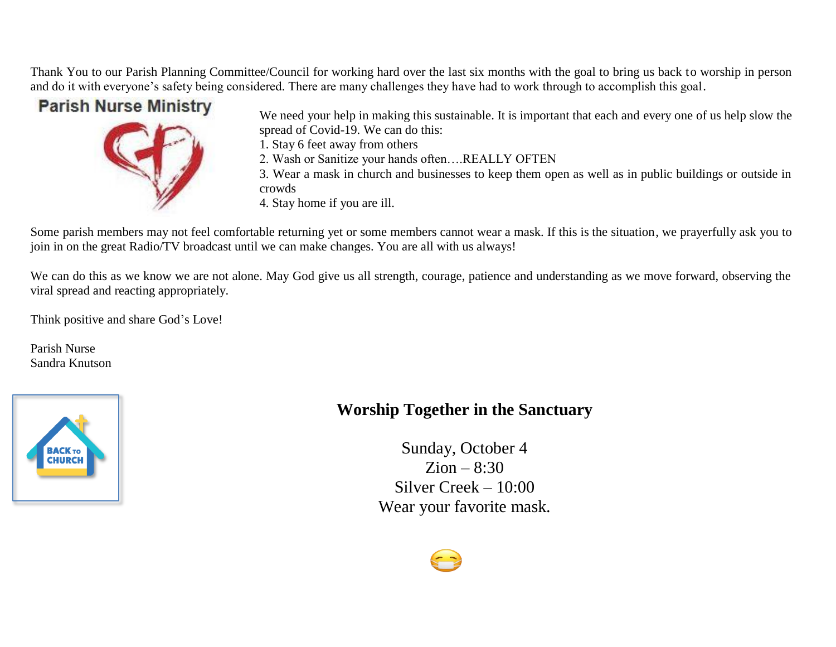Thank You to our Parish Planning Committee/Council for working hard over the last six months with the goal to bring us back to worship in person and do it with everyone's safety being considered. There are many challenges they have had to work through to accomplish this goal.

# **Parish Nurse Ministry**



We need your help in making this sustainable. It is important that each and every one of us help slow the spread of Covid-19. We can do this:

1. Stay 6 feet away from others

2. Wash or Sanitize your hands often….REALLY OFTEN

3. Wear a mask in church and businesses to keep them open as well as in public buildings or outside in crowds

4. Stay home if you are ill.

Some parish members may not feel comfortable returning yet or some members cannot wear a mask. If this is the situation, we prayerfully ask you to join in on the great Radio/TV broadcast until we can make changes. You are all with us always!

We can do this as we know we are not alone. May God give us all strength, courage, patience and understanding as we move forward, observing the viral spread and reacting appropriately.

Think positive and share God's Love!

Parish Nurse Sandra Knutson



# **Worship Together in the Sanctuary**

Sunday, October 4  $Zion - 8:30$ Silver Creek – 10:00 Wear your favorite mask.

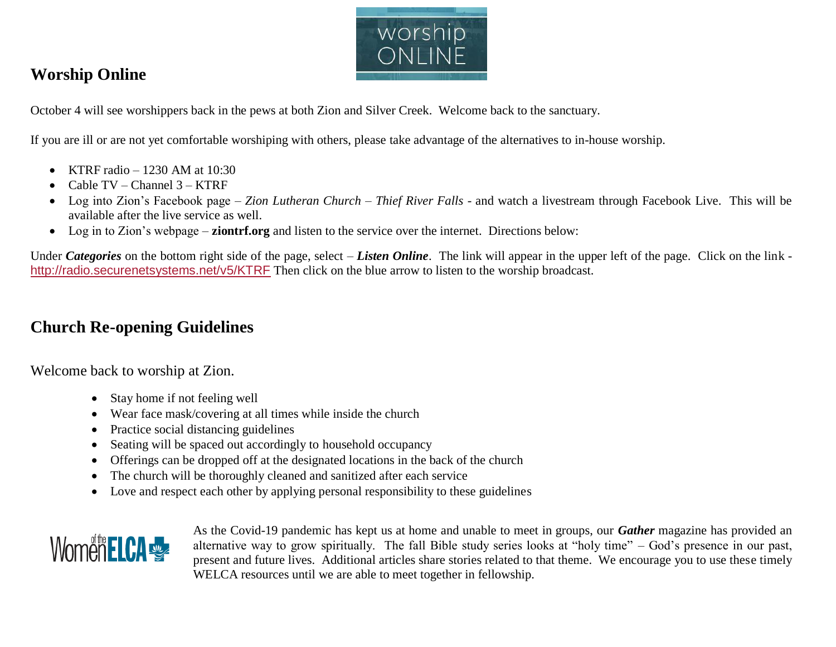

# **Worship Online**

October 4 will see worshippers back in the pews at both Zion and Silver Creek. Welcome back to the sanctuary.

If you are ill or are not yet comfortable worshiping with others, please take advantage of the alternatives to in-house worship.

- KTRF radio  $-1230$  AM at  $10:30$
- Cable  $TV$  Channel  $3$  KTRF
- Log into Zion's Facebook page *– Zion Lutheran Church – Thief River Falls*  and watch a livestream through Facebook Live. This will be available after the live service as well.
- Log in to Zion's webpage **ziontrf.org** and listen to the service over the internet. Directions below:

Under *Categories* on the bottom right side of the page, select – *Listen Online*. The link will appear in the upper left of the page. Click on the link <http://radio.securenetsystems.net/v5/KTRF> Then click on the blue arrow to listen to the worship broadcast.

# **Church Re-opening Guidelines**

Welcome back to worship at Zion.

- Stay home if not feeling well
- Wear face mask/covering at all times while inside the church
- Practice social distancing guidelines
- Seating will be spaced out accordingly to household occupancy
- Offerings can be dropped off at the designated locations in the back of the church
- The church will be thoroughly cleaned and sanitized after each service
- Love and respect each other by applying personal responsibility to these guidelines



As the Covid-19 pandemic has kept us at home and unable to meet in groups, our *Gather* magazine has provided an alternative way to grow spiritually. The fall Bible study series looks at "holy time" – God's presence in our past, present and future lives. Additional articles share stories related to that theme. We encourage you to use these timely WELCA resources until we are able to meet together in fellowship.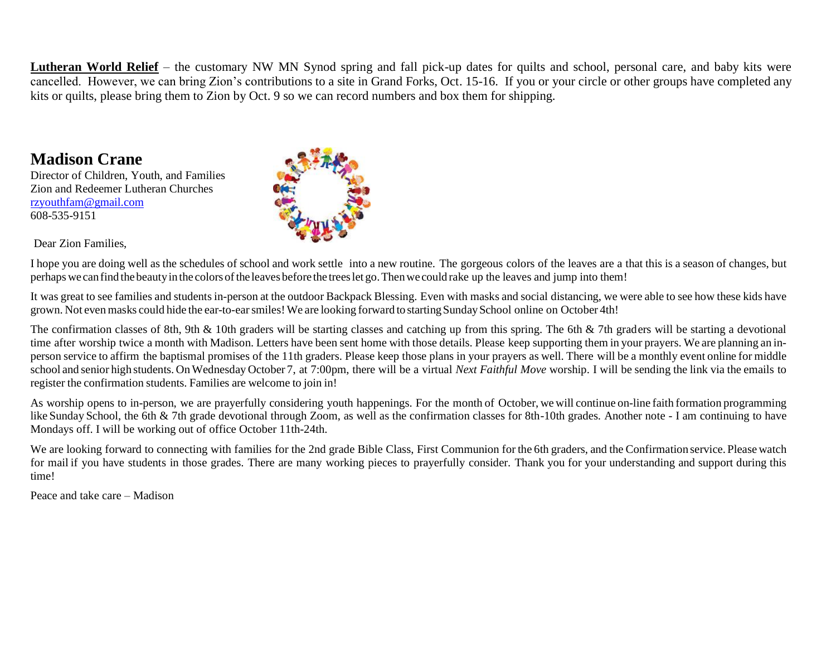**Lutheran World Relief** – the customary NW MN Synod spring and fall pick-up dates for quilts and school, personal care, and baby kits were cancelled. However, we can bring Zion's contributions to a site in Grand Forks, Oct. 15-16. If you or your circle or other groups have completed any kits or quilts, please bring them to Zion by Oct. 9 so we can record numbers and box them for shipping.

## **Madison Crane**

Director of Children, Youth, and Families Zion and Redeemer Lutheran Churches [rzyouthfam@gmail.com](mailto:rzyouthfam@gmail.com) 608-535-9151





I hope you are doing well as the schedules of school and work settle into a new routine. The gorgeous colors of the leaves are a that this is a season of changes, but perhaps we can find the beauty in the colors of the leaves before the trees let go. Then we could rake up the leaves and jump into them!

It was great to see families and students in-person at the outdoor Backpack Blessing. Even with masks and social distancing, we were able to see how these kids have grown. Not evenmasks could hide the ear-to-earsmiles!We are looking forward to startingSundaySchool online on October 4th!

The confirmation classes of 8th, 9th & 10th graders will be starting classes and catching up from this spring. The 6th & 7th graders will be starting a devotional time after worship twice a month with Madison. Letters have been sent home with those details. Please keep supporting them in your prayers. We are planning an inperson service to affirm the baptismal promises of the 11th graders. Please keep those plans in your prayers as well. There will be a monthly event online for middle school and senior high students. OnWednesday October 7, at 7:00pm, there will be a virtual *Next Faithful Move* worship. I will be sending the link via the emails to register the confirmation students. Families are welcome to join in!

As worship opens to in-person, we are prayerfully considering youth happenings. For the month of October, we will continue on-line faith formation programming like Sunday School, the 6th & 7th grade devotional through Zoom, as well as the confirmation classes for 8th-10th grades. Another note - I am continuing to have Mondays off. I will be working out of office October 11th-24th.

We are looking forward to connecting with families for the 2nd grade Bible Class, First Communion for the 6th graders, and the Confirmation service. Please watch for mail if you have students in those grades. There are many working pieces to prayerfully consider. Thank you for your understanding and support during this time!

Peace and take care – Madison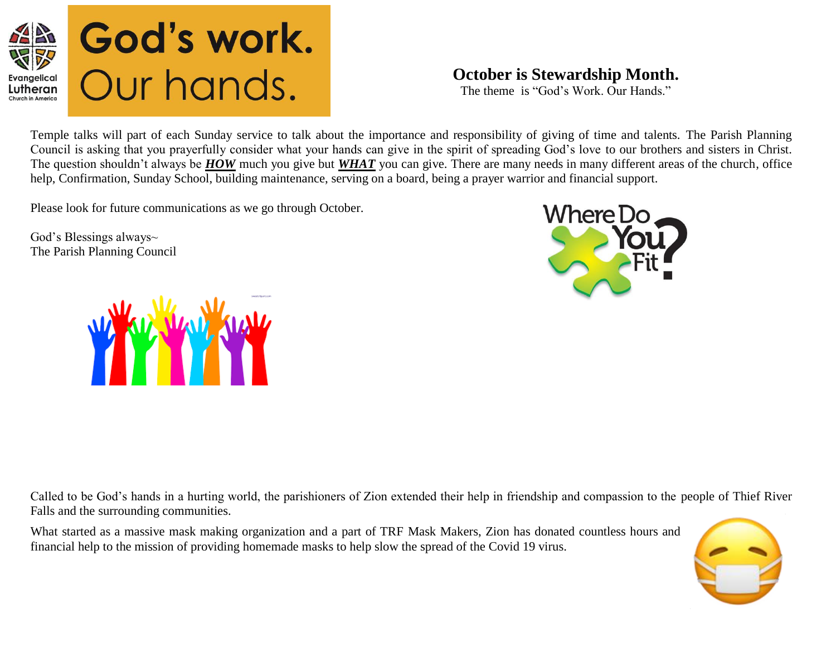

## **October is Stewardship Month.**

The theme is "God's Work. Our Hands."

Temple talks will part of each Sunday service to talk about the importance and responsibility of giving of time and talents. The Parish Planning Council is asking that you prayerfully consider what your hands can give in the spirit of spreading God's love to our brothers and sisters in Christ. The question shouldn't always be *HOW* much you give but *WHAT* you can give. There are many needs in many different areas of the church, office help, Confirmation, Sunday School, building maintenance, serving on a board, being a prayer warrior and financial support.

Please look for future communications as we go through October.

God's Blessings always~ The Parish Planning Council





Called to be God's hands in a hurting world, the parishioners of Zion extended their help in friendship and compassion to the people of Thief River Falls and the surrounding communities.

What started as a massive mask making organization and a part of TRF Mask Makers, Zion has donated countless hours and financial help to the mission of providing homemade masks to help slow the spread of the Covid 19 virus.

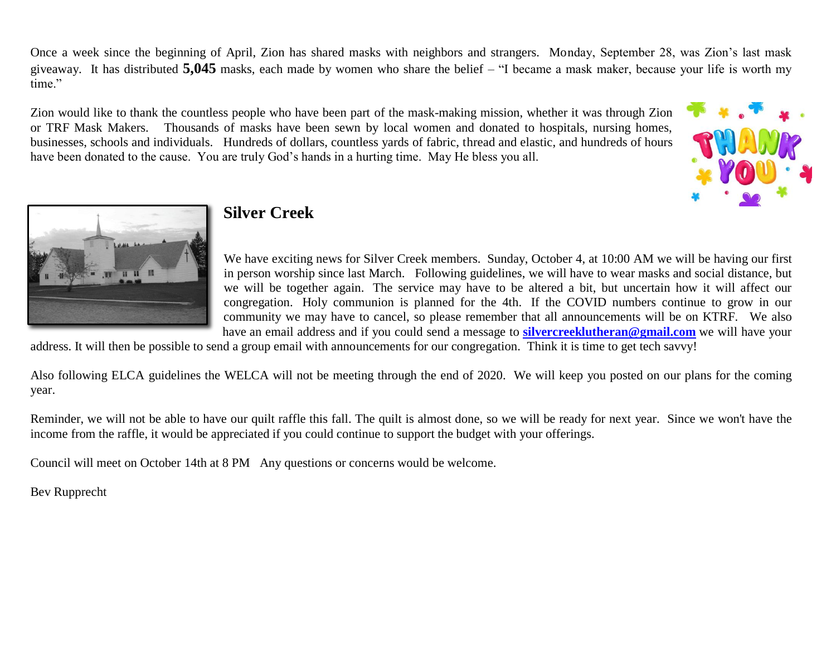Once a week since the beginning of April, Zion has shared masks with neighbors and strangers. Monday, September 28, was Zion's last mask giveaway. It has distributed **5,045** masks, each made by women who share the belief – "I became a mask maker, because your life is worth my time."

Zion would like to thank the countless people who have been part of the mask-making mission, whether it was through Zion or TRF Mask Makers. Thousands of masks have been sewn by local women and donated to hospitals, nursing homes, businesses, schools and individuals. Hundreds of dollars, countless yards of fabric, thread and elastic, and hundreds of hours have been donated to the cause. You are truly God's hands in a hurting time. May He bless you all.





## **Silver Creek**

We have exciting news for Silver Creek members. Sunday, October 4, at 10:00 AM we will be having our first in person worship since last March. Following guidelines, we will have to wear masks and social distance, but we will be together again. The service may have to be altered a bit, but uncertain how it will affect our congregation. Holy communion is planned for the 4th. If the COVID numbers continue to grow in our community we may have to cancel, so please remember that all announcements will be on KTRF. We also have an email address and if you could send a message to **[silvercreeklutheran@gmail.com](https://mail.mncable.net/webmail/src/compose.php?send_to=silvercreeklutheran@gmail.com)** we will have your

address. It will then be possible to send a group email with announcements for our congregation. Think it is time to get tech savvy!

Also following ELCA guidelines the WELCA will not be meeting through the end of 2020. We will keep you posted on our plans for the coming year.

Reminder, we will not be able to have our quilt raffle this fall. The quilt is almost done, so we will be ready for next year. Since we won't have the income from the raffle, it would be appreciated if you could continue to support the budget with your offerings.

Council will meet on October 14th at 8 PM Any questions or concerns would be welcome.

Bev Rupprecht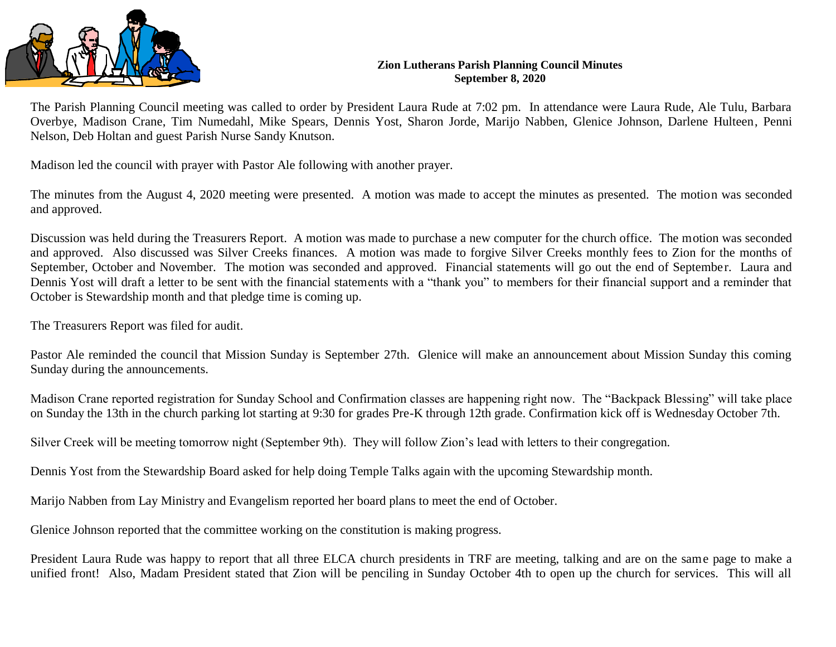

#### **Zion Lutherans Parish Planning Council Minutes September 8, 2020**

The Parish Planning Council meeting was called to order by President Laura Rude at 7:02 pm. In attendance were Laura Rude, Ale Tulu, Barbara Overbye, Madison Crane, Tim Numedahl, Mike Spears, Dennis Yost, Sharon Jorde, Marijo Nabben, Glenice Johnson, Darlene Hulteen, Penni Nelson, Deb Holtan and guest Parish Nurse Sandy Knutson.

Madison led the council with prayer with Pastor Ale following with another prayer.

The minutes from the August 4, 2020 meeting were presented. A motion was made to accept the minutes as presented. The motion was seconded and approved.

Discussion was held during the Treasurers Report. A motion was made to purchase a new computer for the church office. The motion was seconded and approved. Also discussed was Silver Creeks finances. A motion was made to forgive Silver Creeks monthly fees to Zion for the months of September, October and November. The motion was seconded and approved. Financial statements will go out the end of September. Laura and Dennis Yost will draft a letter to be sent with the financial statements with a "thank you" to members for their financial support and a reminder that October is Stewardship month and that pledge time is coming up.

The Treasurers Report was filed for audit.

Pastor Ale reminded the council that Mission Sunday is September 27th. Glenice will make an announcement about Mission Sunday this coming Sunday during the announcements.

Madison Crane reported registration for Sunday School and Confirmation classes are happening right now. The "Backpack Blessing" will take place on Sunday the 13th in the church parking lot starting at 9:30 for grades Pre-K through 12th grade. Confirmation kick off is Wednesday October 7th.

Silver Creek will be meeting tomorrow night (September 9th). They will follow Zion's lead with letters to their congregation.

Dennis Yost from the Stewardship Board asked for help doing Temple Talks again with the upcoming Stewardship month.

Marijo Nabben from Lay Ministry and Evangelism reported her board plans to meet the end of October.

Glenice Johnson reported that the committee working on the constitution is making progress.

President Laura Rude was happy to report that all three ELCA church presidents in TRF are meeting, talking and are on the same page to make a unified front! Also, Madam President stated that Zion will be penciling in Sunday October 4th to open up the church for services. This will all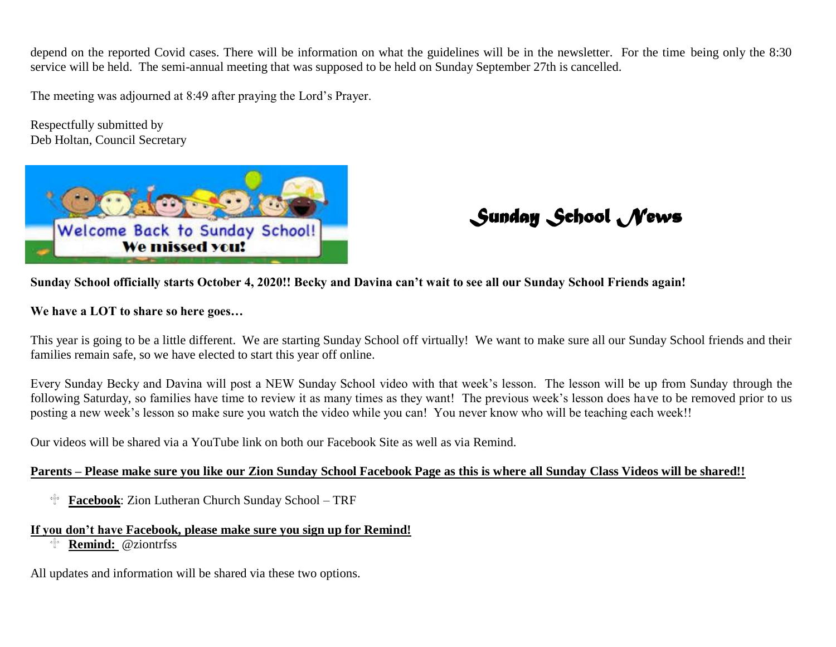depend on the reported Covid cases. There will be information on what the guidelines will be in the newsletter. For the time being only the 8:30 service will be held. The semi-annual meeting that was supposed to be held on Sunday September 27th is cancelled.

The meeting was adjourned at 8:49 after praying the Lord's Prayer.

Respectfully submitted by Deb Holtan, Council Secretary



*Sunday School News* 

**Sunday School officially starts October 4, 2020!! Becky and Davina can't wait to see all our Sunday School Friends again!** 

**We have a LOT to share so here goes…**

This year is going to be a little different. We are starting Sunday School off virtually! We want to make sure all our Sunday School friends and their families remain safe, so we have elected to start this year off online.

Every Sunday Becky and Davina will post a NEW Sunday School video with that week's lesson. The lesson will be up from Sunday through the following Saturday, so families have time to review it as many times as they want! The previous week's lesson does have to be removed prior to us posting a new week's lesson so make sure you watch the video while you can! You never know who will be teaching each week!!

Our videos will be shared via a YouTube link on both our Facebook Site as well as via Remind.

### **Parents – Please make sure you like our Zion Sunday School Facebook Page as this is where all Sunday Class Videos will be shared!!**

∯∘ **Facebook**: Zion Lutheran Church Sunday School – TRF

### **If you don't have Facebook, please make sure you sign up for Remind!**

**Remind:** @ziontrfss

All updates and information will be shared via these two options.